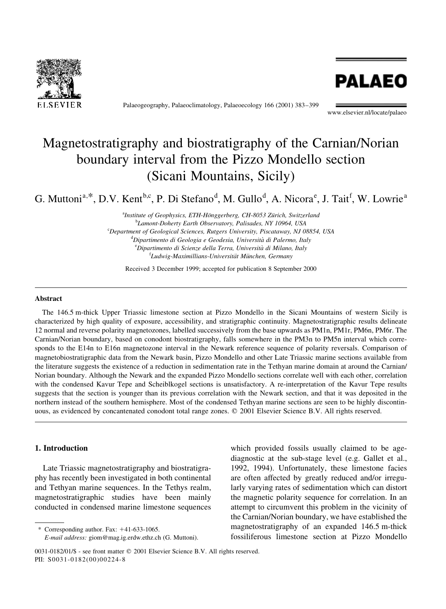

Palaeogeography, Palaeoclimatology, Palaeoecology 166 (2001) 383-399



www.elsevier.nl/locate/palaeo

# Magnetostratigraphy and biostratigraphy of the Carnian/Norian boundary interval from the Pizzo Mondello section (Sicani Mountains, Sicily)

G. Muttoni<sup>a,\*</sup>, D.V. Kent<sup>b,c</sup>, P. Di Stefano<sup>d</sup>, M. Gullo<sup>d</sup>, A. Nicora<sup>e</sup>, J. Tait<sup>f</sup>, W. Lowrie<sup>a</sup>

<sup>a</sup>Institute of Geophysics, ETH-Hönggerberg, CH-8053 Zürich, Switzerland <sup>b</sup>Lamont-Doherty Earth Observatory, Palisades, NY 10964, USA <sup>c</sup>Department of Geological Sciences, Rutgers University, Piscataway, NJ 08854, USA <sup>d</sup>Dipartimento di Geologia e Geodesia, Università di Palermo, Italy <sup>e</sup>Dipartimento di Scienze della Terra, Università di Milano, Italy <sup>f</sup>Ludwig-Maximillians-Universität München, Germany

Received 3 December 1999; accepted for publication 8 September 2000

## Abstract

The 146.5 m-thick Upper Triassic limestone section at Pizzo Mondello in the Sicani Mountains of western Sicily is characterized by high quality of exposure, accessibility, and stratigraphic continuity. Magnetostratigraphic results delineate 12 normal and reverse polarity magnetozones, labelled successively from the base upwards as PM1n, PM1r, PM6n, PM6r. The Carnian/Norian boundary, based on conodont biostratigraphy, falls somewhere in the PM3n to PM5n interval which corresponds to the E14n to E16n magnetozone interval in the Newark reference sequence of polarity reversals. Comparison of magnetobiostratigraphic data from the Newark basin, Pizzo Mondello and other Late Triassic marine sections available from the literature suggests the existence of a reduction in sedimentation rate in the Tethyan marine domain at around the Carnian/ Norian boundary. Although the Newark and the expanded Pizzo Mondello sections correlate well with each other, correlation with the condensed Kavur Tepe and Scheiblkogel sections is unsatisfactory. A re-interpretation of the Kavur Tepe results suggests that the section is younger than its previous correlation with the Newark section, and that it was deposited in the northern instead of the southern hemisphere. Most of the condensed Tethyan marine sections are seen to be highly discontinuous, as evidenced by concantenated conodont total range zones.  $© 2001$  Elsevier Science B.V. All rights reserved.

#### 1. Introduction

Late Triassic magnetostratigraphy and biostratigraphy has recently been investigated in both continental and Tethyan marine sequences. In the Tethys realm, magnetostratigraphic studies have been mainly conducted in condensed marine limestone sequences

\* Corresponding author. Fax:  $+41-633-1065$ .

which provided fossils usually claimed to be agediagnostic at the sub-stage level (e.g. Gallet et al., 1992, 1994). Unfortunately, these limestone facies are often affected by greatly reduced and/or irregularly varying rates of sedimentation which can distort the magnetic polarity sequence for correlation. In an attempt to circumvent this problem in the vicinity of the Carnian/Norian boundary, we have established the magnetostratigraphy of an expanded 146.5 m-thick fossiliferous limestone section at Pizzo Mondello

E-mail address: giom@mag.ig.erdw.ethz.ch (G. Muttoni).

<sup>0031-0182/01/\$ -</sup> see front matter © 2001 Elsevier Science B.V. All rights reserved. PII: S0031-0182(00)00224-8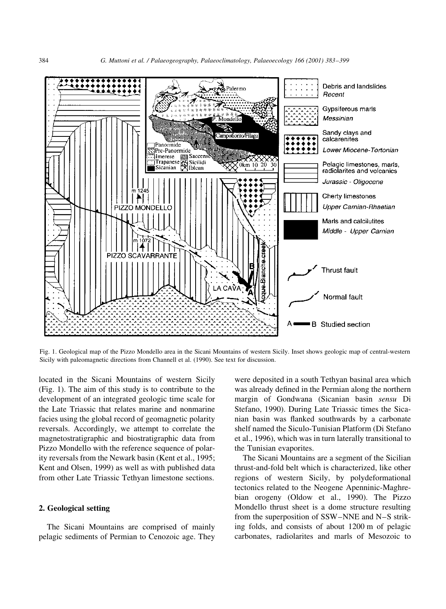

Fig. 1. Geological map of the Pizzo Mondello area in the Sicani Mountains of western Sicily. Inset shows geologic map of central-western Sicily with paleomagnetic directions from Channell et al. (1990). See text for discussion.

located in the Sicani Mountains of western Sicily (Fig. 1). The aim of this study is to contribute to the development of an integrated geologic time scale for the Late Triassic that relates marine and nonmarine facies using the global record of geomagnetic polarity reversals. Accordingly, we attempt to correlate the magnetostratigraphic and biostratigraphic data from Pizzo Mondello with the reference sequence of polarity reversals from the Newark basin (Kent et al., 1995; Kent and Olsen, 1999) as well as with published data from other Late Triassic Tethyan limestone sections.

## 2. Geological setting

The Sicani Mountains are comprised of mainly pelagic sediments of Permian to Cenozoic age. They were deposited in a south Tethyan basinal area which was already defined in the Permian along the northern margin of Gondwana (Sicanian basin sensu Di Stefano, 1990). During Late Triassic times the Sicanian basin was flanked southwards by a carbonate shelf named the Siculo-Tunisian Platform (Di Stefano et al., 1996), which was in turn laterally transitional to the Tunisian evaporites.

The Sicani Mountains are a segment of the Sicilian thrust-and-fold belt which is characterized, like other regions of western Sicily, by polydeformational tectonics related to the Neogene Apenninic-Maghrebian orogeny (Oldow et al., 1990). The Pizzo Mondello thrust sheet is a dome structure resulting from the superposition of  $SSW-NNE$  and  $N-S$  striking folds, and consists of about 1200 m of pelagic carbonates, radiolarites and marls of Mesozoic to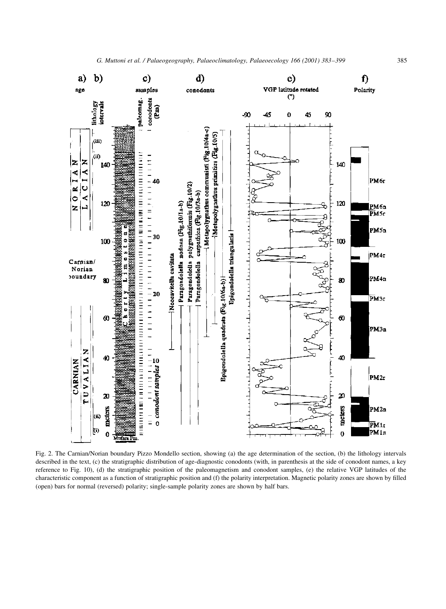

Fig. 2. The Carnian/Norian boundary Pizzo Mondello section, showing (a) the age determination of the section, (b) the lithology intervals described in the text, (c) the stratigraphic distribution of age-diagnostic conodonts (with, in parenthesis at the side of conodont names, a key reference to Fig. 10), (d) the stratigraphic position of the paleomagnetism and conodont samples, (e) the relative VGP latitudes of the characteristic component as a function of stratigraphic position and (f) the polarity interpretation. Magnetic polarity zones are shown by filled (open) bars for normal (reversed) polarity; single-sample polarity zones are shown by half bars.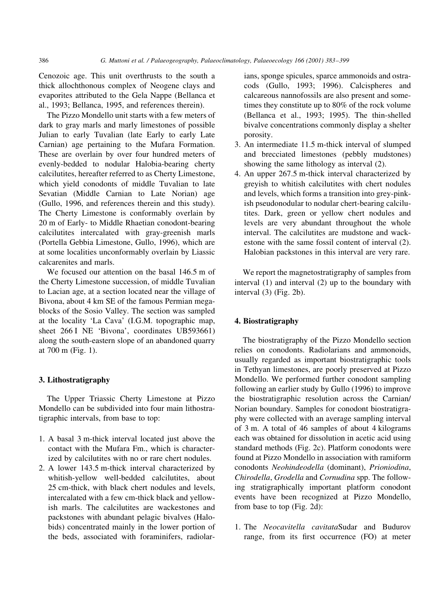386 G. Muttoni et al. / Palaeogeography, Palaeoclimatology, Palaeoecology 166 (2001) 383-399

Cenozoic age. This unit overthrusts to the south a thick allochthonous complex of Neogene clays and evaporites attributed to the Gela Nappe (Bellanca et al., 1993; Bellanca, 1995, and references therein).

The Pizzo Mondello unit starts with a few meters of dark to gray marls and marly limestones of possible Julian to early Tuvalian (late Early to early Late Carnian) age pertaining to the Mufara Formation. These are overlain by over four hundred meters of evenly-bedded to nodular Halobia-bearing cherty calcilutites, hereafter referred to as Cherty Limestone, which yield conodonts of middle Tuvalian to late Sevatian (Middle Carnian to Late Norian) age (Gullo, 1996, and references therein and this study). The Cherty Limestone is conformably overlain by 20 m of Early- to Middle Rhaetian conodont-bearing calcilutites intercalated with gray-greenish marls (Portella Gebbia Limestone, Gullo, 1996), which are at some localities unconformably overlain by Liassic calcarenites and marls.

We focused our attention on the basal 146.5 m of the Cherty Limestone succession, of middle Tuvalian to Lacian age, at a section located near the village of Bivona, about 4 km SE of the famous Permian megablocks of the Sosio Valley. The section was sampled at the locality `La Cava' (I.G.M. topographic map, sheet 266 I NE 'Bivona', coordinates UB593661) along the south-eastern slope of an abandoned quarry at 700 m (Fig. 1).

# 3. Lithostratigraphy

The Upper Triassic Cherty Limestone at Pizzo Mondello can be subdivided into four main lithostratigraphic intervals, from base to top:

- 1. A basal 3 m-thick interval located just above the contact with the Mufara Fm., which is characterized by calcilutites with no or rare chert nodules.
- 2. A lower 143.5 m-thick interval characterized by whitish-yellow well-bedded calcilutites, about 25 cm-thick, with black chert nodules and levels, intercalated with a few cm-thick black and yellowish marls. The calcilutites are wackestones and packstones with abundant pelagic bivalves (Halobids) concentrated mainly in the lower portion of the beds, associated with foraminifers, radiolar-

ians, sponge spicules, sparce ammonoids and ostracods (Gullo, 1993; 1996). Calcispheres and calcareous nannofossils are also present and sometimes they constitute up to 80% of the rock volume (Bellanca et al., 1993; 1995). The thin-shelled bivalve concentrations commonly display a shelter porosity.

- 3. An intermediate 11.5 m-thick interval of slumped and brecciated limestones (pebbly mudstones) showing the same lithology as interval (2).
- 4. An upper 267.5 m-thick interval characterized by greyish to whitish calcilutites with chert nodules and levels, which forms a transition into grey-pinkish pseudonodular to nodular chert-bearing calcilutites. Dark, green or yellow chert nodules and levels are very abundant throughout the whole interval. The calcilutites are mudstone and wackestone with the same fossil content of interval (2). Halobian packstones in this interval are very rare.

We report the magnetostratigraphy of samples from interval (1) and interval (2) up to the boundary with interval (3) (Fig. 2b).

# 4. Biostratigraphy

The biostratigraphy of the Pizzo Mondello section relies on conodonts. Radiolarians and ammonoids, usually regarded as important biostratigraphic tools in Tethyan limestones, are poorly preserved at Pizzo Mondello. We performed further conodont sampling following an earlier study by Gullo (1996) to improve the biostratigraphic resolution across the Carnian/ Norian boundary. Samples for conodont biostratigraphy were collected with an average sampling interval of 3 m. A total of 46 samples of about 4 kilograms each was obtained for dissolution in acetic acid using standard methods (Fig. 2c). Platform conodonts were found at Pizzo Mondello in association with ramiform conodonts Neohindeodella (dominant), Prioniodina, Chirodella, Grodella and Cornudina spp. The following stratigraphically important platform conodont events have been recognized at Pizzo Mondello, from base to top (Fig. 2d):

1. The Neocavitella cavitataSudar and Budurov range, from its first occurrence (FO) at meter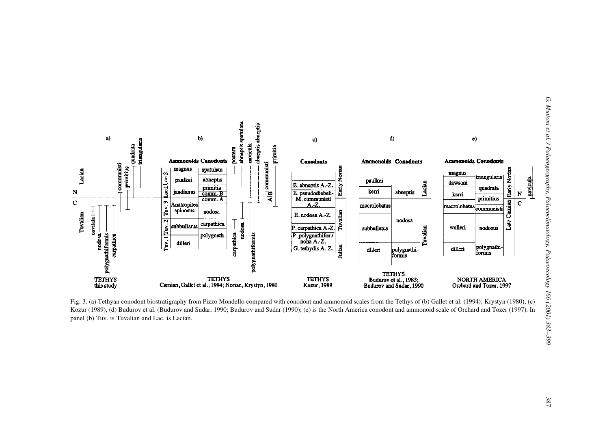

Fig. 3. (a) Tethyan conodont biostratigraphy from Pizzo Mondello compared with conodont and ammonoid scales from the Tethys of (b) Gallet et al. (1994); Krystyn (1980), (c)<br>
Kozur (1989), (d) Budurov et al. (Budurov and Su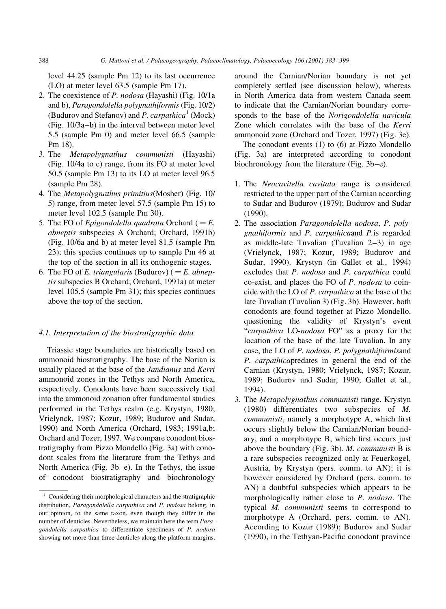level 44.25 (sample Pm 12) to its last occurrence (LO) at meter level 63.5 (sample Pm 17).

- 2. The coexistence of P. nodosa (Hayashi) (Fig. 10/1a and b), Paragondolella polygnathiformis (Fig. 10/2) (Budurov and Stefanov) and P. carpathica<sup>1</sup> (Mock) (Fig.  $10/3a-b$ ) in the interval between meter level 5.5 (sample Pm 0) and meter level 66.5 (sample Pm 18).
- 3. The Metapolygnathus communisti (Hayashi) (Fig. 10/4a to c) range, from its FO at meter level 50.5 (sample Pm 13) to its LO at meter level 96.5 (sample Pm 28).
- 4. The Metapolygnathus primitius(Mosher) (Fig. 10/ 5) range, from meter level 57.5 (sample Pm 15) to meter level 102.5 (sample Pm 30).
- 5. The FO of *Epigondolella quadrata* Orchard ( $=E$ . abneptis subspecies A Orchard; Orchard, 1991b) (Fig. 10/6a and b) at meter level 81.5 (sample Pm 23); this species continues up to sample Pm 46 at the top of the section in all its onthogenic stages.
- 6. The FO of E. triangularis (Budurov) ( $=E$ . abneptis subspecies B Orchard; Orchard, 1991a) at meter level 105.5 (sample Pm 31); this species continues above the top of the section.

#### 4.1. Interpretation of the biostratigraphic data

Triassic stage boundaries are historically based on ammonoid biostratigraphy. The base of the Norian is usually placed at the base of the Jandianus and Kerri ammonoid zones in the Tethys and North America, respectively. Conodonts have been successively tied into the ammonoid zonation after fundamental studies performed in the Tethys realm (e.g. Krystyn, 1980; Vrielynck, 1987; Kozur, 1989; Budurov and Sudar, 1990) and North America (Orchard, 1983; 1991a,b; Orchard and Tozer, 1997. We compare conodont biostratigraphy from Pizzo Mondello (Fig. 3a) with conodont scales from the literature from the Tethys and North America (Fig.  $3b-e$ ). In the Tethys, the issue of conodont biostratigraphy and biochronology

around the Carnian/Norian boundary is not yet completely settled (see discussion below), whereas in North America data from western Canada seem to indicate that the Carnian/Norian boundary corresponds to the base of the Norigondolella navicula Zone which correlates with the base of the Kerri ammonoid zone (Orchard and Tozer, 1997) (Fig. 3e).

The conodont events (1) to (6) at Pizzo Mondello (Fig. 3a) are interpreted according to conodont biochronology from the literature (Fig.  $3b-e$ ).

- 1. The Neocavitella cavitata range is considered restricted to the upper part of the Carnian according to Sudar and Budurov (1979); Budurov and Sudar (1990).
- 2. The association Paragondolella nodosa, P. polygnathiformis and P. carpathicaand P.is regarded as middle-late Tuvalian (Tuvalian  $2-3$ ) in age (Vrielynck, 1987; Kozur, 1989; Budurov and Sudar, 1990). Krystyn (in Gallet et al., 1994) excludes that P. nodosa and P. carpathica could co-exist, and places the FO of P. nodosa to coincide with the LO of P. carpathica at the base of the late Tuvalian (Tuvalian 3) (Fig. 3b). However, both conodonts are found together at Pizzo Mondello, questioning the validity of Krystyn's event "carpathica LO-nodosa FO" as a proxy for the location of the base of the late Tuvalian. In any case, the LO of P. nodosa, P. polygnathiformisand P. carpathicapredates in general the end of the Carnian (Krystyn, 1980; Vrielynck, 1987; Kozur, 1989; Budurov and Sudar, 1990; Gallet et al., 1994).
- 3. The Metapolygnathus communisti range. Krystyn (1980) differentiates two subspecies of M. communisti, namely a morphotype A, which first occurs slightly below the Carnian/Norian boundary, and a morphotype B, which first occurs just above the boundary (Fig. 3b). M. communisti B is a rare subspecies recognized only at Feuerkogel, Austria, by Krystyn (pers. comm. to AN); it is however considered by Orchard (pers. comm. to AN) a doubtful subspecies which appears to be morphologically rather close to P. nodosa. The typical M. communisti seems to correspond to morphotype A (Orchard, pers. comm. to AN). According to Kozur (1989); Budurov and Sudar (1990), in the Tethyan-Pacific conodont province

<sup>&</sup>lt;sup>1</sup> Considering their morphological characters and the stratigraphic distribution, Paragondolella carpathica and P. nodosa belong, in our opinion, to the same taxon, even though they differ in the number of denticles. Nevertheless, we maintain here the term Paragondolella carpathica to differentiate specimens of P. nodosa showing not more than three denticles along the platform margins.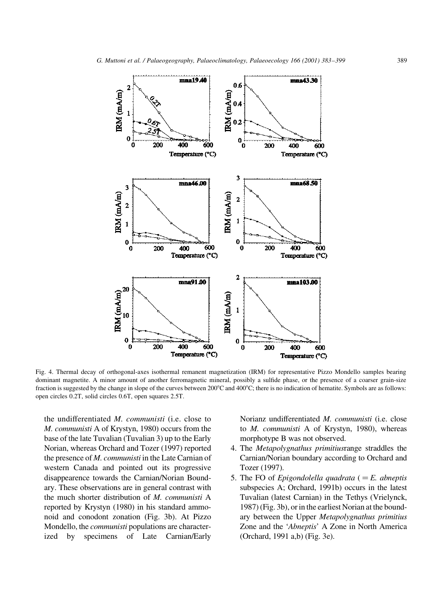

Fig. 4. Thermal decay of orthogonal-axes isothermal remanent magnetization (IRM) for representative Pizzo Mondello samples bearing dominant magnetite. A minor amount of another ferromagnetic mineral, possibly a sulfide phase, or the presence of a coarser grain-size fraction is suggested by the change in slope of the curves between 200°C and 400°C; there is no indication of hematite. Symbols are as follows: open circles 0.2T, solid circles 0.6T, open squares 2.5T.

the undifferentiated M. communisti (i.e. close to M. communisti A of Krystyn, 1980) occurs from the base of the late Tuvalian (Tuvalian 3) up to the Early Norian, whereas Orchard and Tozer (1997) reported the presence of M. communisti in the Late Carnian of western Canada and pointed out its progressive disappearence towards the Carnian/Norian Boundary. These observations are in general contrast with the much shorter distribution of M. communisti A reported by Krystyn (1980) in his standard ammonoid and conodont zonation (Fig. 3b). At Pizzo Mondello, the *communisti* populations are characterized by specimens of Late Carnian/Early

Norianz undifferentiated M. communisti (i.e. close to M. communisti A of Krystyn, 1980), whereas morphotype B was not observed.

- 4. The Metapolygnathus primitiusrange straddles the Carnian/Norian boundary according to Orchard and Tozer (1997).
- 5. The FO of *Epigondolella quadrata*  $( = E.$  *abneptis* subspecies A; Orchard, 1991b) occurs in the latest Tuvalian (latest Carnian) in the Tethys (Vrielynck, 1987) (Fig. 3b), or in the earliest Norian at the boundary between the Upper Metapolygnathus primitius Zone and the `Abneptis' A Zone in North America (Orchard, 1991 a,b) (Fig. 3e).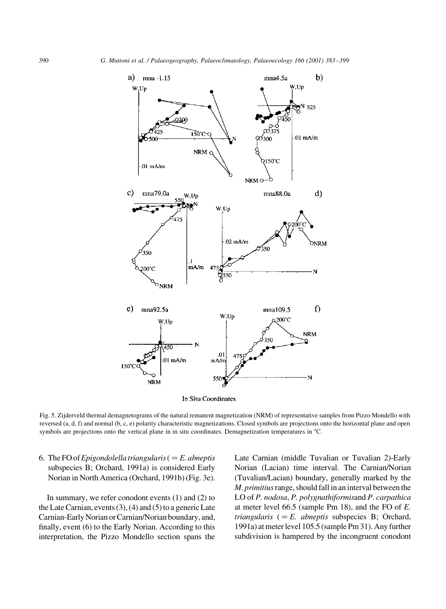

In Situ Coordinates

Fig. 5. Zijderveld thermal demagnetograms of the natural remanent magnetization (NRM) of representative samples from Pizzo Mondello with reversed (a, d, f) and normal (b, c, e) polarity characteristic magnetizations. Closed symbols are projections onto the horizontal plane and open symbols are projections onto the vertical plane in in situ coordinates. Demagnetization temperatures in °C.

6. The FO of Epigondolella triangularis ( $=E$ . abneptis subspecies B; Orchard, 1991a) is considered Early Norian in North America (Orchard, 1991b) (Fig. 3e).

In summary, we refer conodont events (1) and (2) to the Late Carnian, events (3), (4) and (5) to a generic Late Carnian-Early Norian or Carnian/Norian boundary, and, finally, event (6) to the Early Norian. According to this interpretation, the Pizzo Mondello section spans the

Late Carnian (middle Tuvalian or Tuvalian 2)-Early Norian (Lacian) time interval. The Carnian/Norian (Tuvalian/Lacian) boundary, generally marked by the M. primitius range, should fall in an interval between the LO of P. nodosa, P. polygnathiformisand P. carpathica at meter level 66.5 (sample Pm 18), and the FO of E. triangularis  $( = E.$  abneptis subspecies B; Orchard, 1991a) at meter level 105.5 (sample Pm 31). Any further subdivision is hampered by the incongruent conodont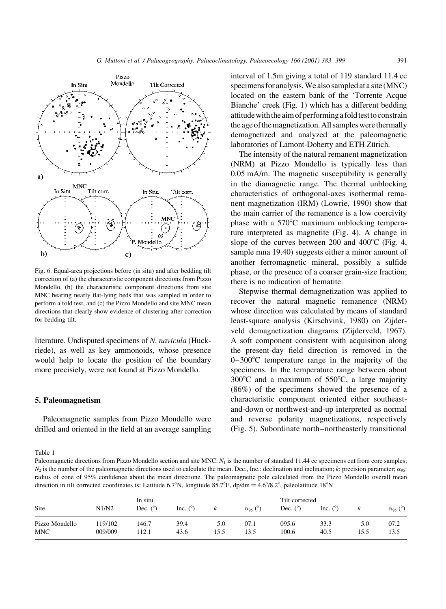

Fig. 6. Equal-area projections before (in situ) and after bedding tilt correction of (a) the characteristic component directions from Pizzo Mondello, (b) the characteristic component directions from site MNC bearing nearly flat-lying beds that was sampled in order to perform a fold test, and (c) the Pizzo Mondello and site MNC mean directions that clearly show evidence of clustering after correction for bedding tilt.

literature. Undisputed specimens of N. navicula (Huckriede), as well as key ammonoids, whose presence would help to locate the position of the boundary more precisiely, were not found at Pizzo Mondello.

### 5. Paleomagnetism

Paleomagnetic samples from Pizzo Mondello were drilled and oriented in the field at an average sampling interval of 1.5m giving a total of 119 standard 11.4 cc specimens for analysis.We also sampled at a site (MNC) located on the eastern bank of the `Torrente Acque Bianche' creek (Fig. 1) which has a different bedding attitudewiththe aim of performinga foldtesttoconstrain the age of the magnetization. All samples were thermally demagnetized and analyzed at the paleomagnetic laboratories of Lamont-Doherty and ETH Zürich.

The intensity of the natural remanent magnetization (NRM) at Pizzo Mondello is typically less than 0.05 mA/m. The magnetic susceptibility is generally in the diamagnetic range. The thermal unblocking characteristics of orthogonal-axes isothermal remanent magnetization (IRM) (Lowrie, 1990) show that the main carrier of the remanence is a low coercivity phase with a  $570^{\circ}$ C maximum unblocking temperature interpreted as magnetite (Fig. 4). A change in slope of the curves between 200 and  $400^{\circ}$ C (Fig. 4, sample mna 19.40) suggests either a minor amount of another ferromagnetic mineral, possibly a sulfide phase, or the presence of a coarser grain-size fraction; there is no indication of hematite.

Stepwise thermal demagnetization was applied to recover the natural magnetic remanence (NRM) whose direction was calculated by means of standard least-square analysis (Kirschvink, 1980) on Zijderveld demagnetization diagrams (Zijderveld, 1967). A soft component consistent with acquisition along the present-day field direction is removed in the  $0-300^{\circ}$ C temperature range in the majority of the specimens. In the temperature range between about  $300^{\circ}$ C and a maximum of  $550^{\circ}$ C, a large majority (86%) of the specimens showed the presence of a characteristic component oriented either southeastand-down or northwest-and-up interpreted as normal and reverse polarity magnetizations, respectively (Fig. 5). Subordinate north-northeasterly transitional

Table 1

Paleomagnetic directions from Pizzo Mondello section and site MNC. N<sub>1</sub> is the number of standard 11.44 cc specimens cut from core samples;  $N_2$  is the number of the paleomagnetic directions used to calculate the mean. Dec., Inc.: declination and inclination; k: precision parameter;  $\alpha_{.95}$ : radius of cone of 95% confidence about the mean directione. The paleomagnetic pole calculated from the Pizzo Mondello overall mean direction in tilt corrected coordinates is: Latitude 6.7°N, longitude 85.7°E, dp/dm =  $4.6^{\circ}/8.2^{\circ}$ , paleolatitude 18°N

| Site           | N1/N2   | In situ<br>Dec. $(^\circ)$ | Inc. $(^\circ)$ | ĸ    | $\alpha_{95}$ (°) | Tilt corrected<br>Dec. $(°)$ | Inc. $(^\circ)$ |      | $\alpha_{95}$ (°) |
|----------------|---------|----------------------------|-----------------|------|-------------------|------------------------------|-----------------|------|-------------------|
| Pizzo Mondello | 19/102  | 146.7                      | 39.4            | 5.0  | 07.1              | 095.6                        | 33.3            | 5.0  | 07.2              |
| <b>MNC</b>     | 009/009 | 112.1                      | 43.6            | 15.5 | 13.5              | 100.6                        | 40.5            | 15.5 | 13.5              |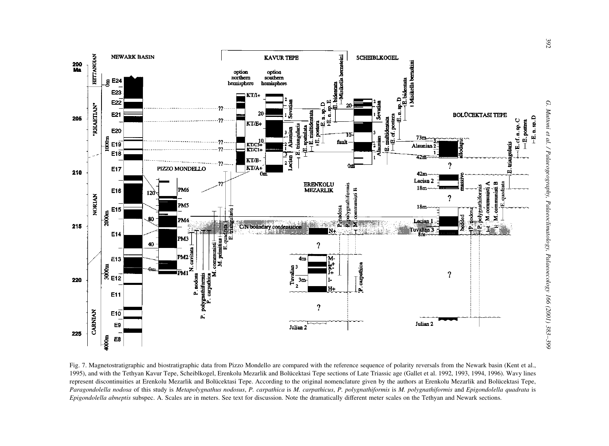

Fig. 7. Magnetostratigraphic and biostratigraphic data from Pizzo Mondello are compared with the reference sequence of polarity reversals from the Newark basin (Kent et al., 1995), and with the Tethyan Kavur Tepe, Scheiblkogel, Erenkolu Mezarlik and Bolücektasi Tepe sections of Late Triassic age (Gallet et al. 1992, 1993, 1994, 1996). Wavy lines represent discontinuities at Erenkolu Mezarlik and Bolücektasi Tepe. According to the original nomenclature given by the authors at Erenkolu Mezarlik and Bolücektasi Tepe, Paragondolella nodosa of this study is Metapolygnathus nodosus, P. carpathica is M. carpathicus, P. polygnathiformis is M. polygnathiformis and Epigondolella quadrata is Epigondolella abneptis subspec. A. Scales are in meters. See text for discussion. Note the dramatically different meter scales on the Tethyan and Newark sections.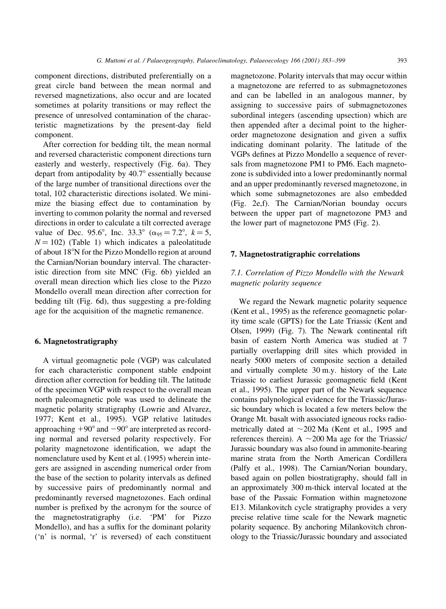component directions, distributed preferentially on a great circle band between the mean normal and reversed magnetizations, also occur and are located sometimes at polarity transitions or may reflect the presence of unresolved contamination of the characteristic magnetizations by the present-day field component.

After correction for bedding tilt, the mean normal and reversed characteristic component directions turn easterly and westerly, respectively (Fig. 6a). They depart from antipodality by  $40.7^\circ$  essentially because of the large number of transitional directions over the total, 102 characteristic directions isolated. We minimize the biasing effect due to contamination by inverting to common polarity the normal and reversed directions in order to calculate a tilt corrected average value of Dec. 95.6°, Inc. 33.3° ( $\alpha_{95} = 7.2$ °,  $k = 5$ ,  $N = 102$ ) (Table 1) which indicates a paleolatitude of about 18°N for the Pizzo Mondello region at around the Carnian/Norian boundary interval. The characteristic direction from site MNC (Fig. 6b) yielded an overall mean direction which lies close to the Pizzo Mondello overall mean direction after correction for bedding tilt (Fig. 6d), thus suggesting a pre-folding age for the acquisition of the magnetic remanence.

#### 6. Magnetostratigraphy

A virtual geomagnetic pole (VGP) was calculated for each characteristic component stable endpoint direction after correction for bedding tilt. The latitude of the specimen VGP with respect to the overall mean north paleomagnetic pole was used to delineate the magnetic polarity stratigraphy (Lowrie and Alvarez, 1977; Kent et al., 1995). VGP relative latitudes approaching  $+90^{\circ}$  and  $-90^{\circ}$  are interpreted as recording normal and reversed polarity respectively. For polarity magnetozone identification, we adapt the nomenclature used by Kent et al. (1995) wherein integers are assigned in ascending numerical order from the base of the section to polarity intervals as defined by successive pairs of predominantly normal and predominantly reversed magnetozones. Each ordinal number is prefixed by the acronym for the source of the magnetostratigraphy (i.e. `PM' for Pizzo Mondello), and has a suffix for the dominant polarity (`n' is normal, `r' is reversed) of each constituent magnetozone. Polarity intervals that may occur within a magnetozone are referred to as submagnetozones and can be labelled in an analogous manner, by assigning to successive pairs of submagnetozones subordinal integers (ascending upsection) which are then appended after a decimal point to the higherorder magnetozone designation and given a suffix indicating dominant polarity. The latitude of the VGPs defines at Pizzo Mondello a sequence of reversals from magnetozone PM1 to PM6. Each magnetozone is subdivided into a lower predominantly normal and an upper predominantly reversed magnetozone, in which some submagnetozones are also embedded (Fig. 2e,f). The Carnian/Norian bounday occurs between the upper part of magnetozone PM3 and the lower part of magnetozone PM5 (Fig. 2).

## 7. Magnetostratigraphic correlations

# 7.1. Correlation of Pizzo Mondello with the Newark magnetic polarity sequence

We regard the Newark magnetic polarity sequence (Kent et al., 1995) as the reference geomagnetic polarity time scale (GPTS) for the Late Triassic (Kent and Olsen, 1999) (Fig. 7). The Newark continental rift basin of eastern North America was studied at 7 partially overlapping drill sites which provided in nearly 5000 meters of composite section a detailed and virtually complete 30 m.y. history of the Late Triassic to earliest Jurassic geomagnetic field (Kent et al., 1995). The upper part of the Newark sequence contains palynological evidence for the Triassic/Jurassic boundary which is located a few meters below the Orange Mt. basalt with associated igneous rocks radiometrically dated at  $\sim$ 202 Ma (Kent et al., 1995 and references therein). A  $\sim$ 200 Ma age for the Triassic/ Jurassic boundary was also found in ammonite-bearing marine strata from the North American Cordillera (Palfy et al., 1998). The Carnian/Norian boundary, based again on pollen biostratigraphy, should fall in an approximately 300 m-thick interval located at the base of the Passaic Formation within magnetozone E13. Milankovitch cycle stratigraphy provides a very precise relative time scale for the Newark magnetic polarity sequence. By anchoring Milankovitch chronology to the Triassic/Jurassic boundary and associated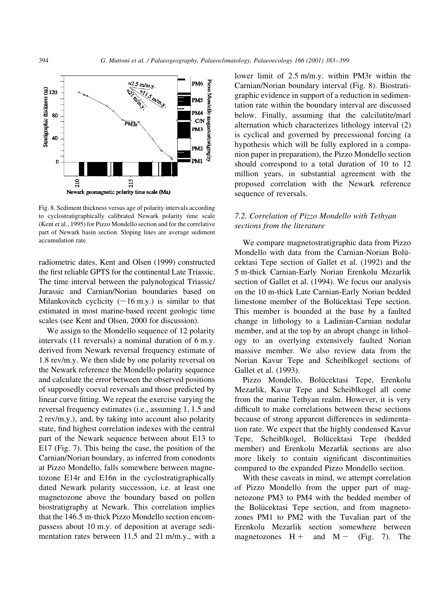

Fig. 8. Sediment thickness versus age of polarity intervals according to cyclostratigraphically calibrated Newark polarity time scale (Kent et al., 1995) for Pizzo Mondello section and for the correlative part of Newark basin section. Sloping lines are average sediment accumulation rate.

radiometric dates, Kent and Olsen (1999) constructed the first reliable GPTS for the continental Late Triassic. The time interval between the palynological Triassic/ Jurassic and Carnian/Norian boundaries based on Milankovitch cyclicity  $(\sim16$  m.y.) is similar to that estimated in most marine-based recent geologic time scales (see Kent and Olsen, 2000 for discussion).

We assign to the Mondello sequence of 12 polarity intervals (11 reversals) a nominal duration of 6 m.y. derived from Newark reversal frequency estimate of 1.8 rev/m.y. We then slide by one polarity reversal on the Newark reference the Mondello polarity sequence and calculate the error between the observed positions of supposedly coeval reversals and those predicted by linear curve fitting. We repeat the exercise varying the reversal frequency estimates (i.e., assuming 1, 1.5 and 2 rev/m.y.), and, by taking into account also polarity state, find highest correlation indexes with the central part of the Newark sequence between about E13 to E17 (Fig. 7). This being the case, the position of the Carnian/Norian boundary, as inferred from conodonts at Pizzo Mondello, falls somewhere between magnetozone E14r and E16n in the cyclostratigraphically dated Newark polarity succession, i.e. at least one magnetozone above the boundary based on pollen biostratigraphy at Newark. This correlation implies that the 146.5 m-thick Pizzo Mondello section encompassess about 10 m.y. of deposition at average sedimentation rates between 11.5 and 21 m/m.y., with a

lower limit of 2.5 m/m.y. within PM3r within the Carnian/Norian boundary interval (Fig. 8). Biostratigraphic evidence in support of a reduction in sedimentation rate within the boundary interval are discussed below. Finally, assuming that the calcilutite/marl alternation which characterizes lithology interval (2) is cyclical and governed by precessional forcing (a hypothesis which will be fully explored in a companion paper in preparation), the Pizzo Mondello section should correspond to a total duration of 10 to 12 million years, in substantial agreement with the proposed correlation with the Newark reference sequence of reversals.

# 7.2. Correlation of Pizzo Mondello with Tethyan sections from the literature

We compare magnetostratigraphic data from Pizzo Mondello with data from the Carnian-Norian Bolücektasi Tepe section of Gallet et al. (1992) and the 5 m-thick Carnian-Early Norian Erenkolu Mezarlik section of Gallet et al. (1994). We focus our analysis on the 10 m-thick Late Carnian-Early Norian bedded limestone member of the Bolücektasi Tepe section. This member is bounded at the base by a faulted change in lithology to a Ladinian-Carnian nodular member, and at the top by an abrupt change in lithology to an overlying extensively faulted Norian massive member. We also review data from the Norian Kavur Tepe and Scheiblkogel sections of Gallet et al. (1993).

Pizzo Mondello, Bolücektasi Tepe, Erenkolu Mezarlik, Kavur Tepe and Scheiblkogel all come from the marine Tethyan realm. However, it is very difficult to make correlations between these sections because of strong apparent differences in sedimentation rate. We expect that the highly condensed Kavur Tepe, Scheiblkogel, Bolücektasi Tepe (bedded member) and Erenkolu Mezarlik sections are also more likely to contain significant discontinuities compared to the expanded Pizzo Mondello section.

With these caveats in mind, we attempt correlation of Pizzo Mondello from the upper part of magnetozone PM3 to PM4 with the bedded member of the Bolücektasi Tepe section, and from magnetozones PM1 to PM2 with the Tuvalian part of the Erenkolu Mezarlik section somewhere between magnetozones  $H +$  and  $M -$  (Fig. 7). The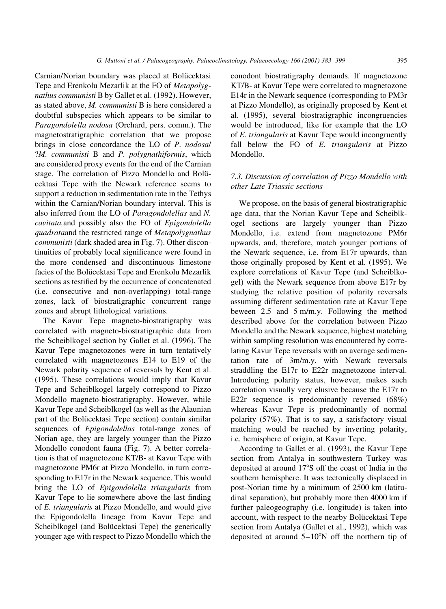Carnian/Norian boundary was placed at Bolücektasi Tepe and Erenkolu Mezarlik at the FO of Metapolygnathus communisti B by Gallet et al. (1992). However, as stated above, M. communisti B is here considered a doubtful subspecies which appears to be similar to Paragondolella nodosa (Orchard, pers. comm.). The magnetostratigraphic correlation that we propose brings in close concordance the LO of P. nodosa/ ?M. communisti B and P. polygnathiformis, which are considered proxy events for the end of the Carnian stage. The correlation of Pizzo Mondello and Bolücektasi Tepe with the Newark reference seems to support a reduction in sedimentation rate in the Tethys within the Carnian/Norian boundary interval. This is also inferred from the LO of Paragondolellas and N. cavitata,and possibly also the FO of Epigondolella quadrataand the restricted range of Metapolygnathus communisti (dark shaded area in Fig. 7). Other discontinuities of probably local significance were found in the more condensed and discontinuous limestone facies of the Bolücektasi Tepe and Erenkolu Mezarlik sections as testified by the occurrence of concatenated (i.e. consecutive and non-overlapping) total-range zones, lack of biostratigraphic concurrent range zones and abrupt lithological variations.

The Kavur Tepe magneto-biostratigraphy was correlated with magneto-biostratigraphic data from the Scheiblkogel section by Gallet et al. (1996). The Kavur Tepe magnetozones were in turn tentatively correlated with magnetozones E14 to E19 of the Newark polarity sequence of reversals by Kent et al. (1995). These correlations would imply that Kavur Tepe and Scheiblkogel largely correspond to Pizzo Mondello magneto-biostratigraphy. However, while Kavur Tepe and Scheiblkogel (as well as the Alaunian part of the Bolücektasi Tepe section) contain similar sequences of Epigondolellas total-range zones of Norian age, they are largely younger than the Pizzo Mondello conodont fauna (Fig. 7). A better correlation is that of magnetozone KT/B- at Kavur Tepe with magnetozone PM6r at Pizzo Mondello, in turn corresponding to E17r in the Newark sequence. This would bring the LO of Epigondolella triangularis from Kavur Tepe to lie somewhere above the last finding of E. triangularis at Pizzo Mondello, and would give the Epigondolella lineage from Kavur Tepe and Scheiblkogel (and Bolücektasi Tepe) the generically younger age with respect to Pizzo Mondello which the conodont biostratigraphy demands. If magnetozone KT/B- at Kavur Tepe were correlated to magnetozone E14r in the Newark sequence (corresponding to PM3r at Pizzo Mondello), as originally proposed by Kent et al. (1995), several biostratigraphic incongruencies would be introduced, like for example that the LO of E. triangularis at Kavur Tepe would incongruently fall below the FO of  $E$ . triangularis at Pizzo Mondello.

# 7.3. Discussion of correlation of Pizzo Mondello with other Late Triassic sections

We propose, on the basis of general biostratigraphic age data, that the Norian Kavur Tepe and Scheiblkogel sections are largely younger than Pizzo Mondello, i.e. extend from magnetozone PM6r upwards, and, therefore, match younger portions of the Newark sequence, i.e. from E17r upwards, than those originally proposed by Kent et al. (1995). We explore correlations of Kavur Tepe (and Scheiblkogel) with the Newark sequence from above E17r by studying the relative position of polarity reversals assuming different sedimentation rate at Kavur Tepe beween 2.5 and 5 m/m.y. Following the method described above for the correlation between Pizzo Mondello and the Newark sequence, highest matching within sampling resolution was encountered by correlating Kavur Tepe reversals with an average sedimentation rate of 3m/m.y. with Newark reversals straddling the E17r to E22r magnetozone interval. Introducing polarity status, however, makes such correlation visually very elusive because the E17r to E22r sequence is predominantly reversed (68%) whereas Kavur Tepe is predominantly of normal polarity (57%). That is to say, a satisfactory visual matching would be reached by inverting polarity, i.e. hemisphere of origin, at Kavur Tepe.

According to Gallet et al. (1993), the Kavur Tepe section from Antalya in southwestern Turkey was deposited at around 17°S off the coast of India in the southern hemisphere. It was tectonically displaced in post-Norian time by a minimum of 2500 km (latitudinal separation), but probably more then 4000 km if further paleogeography (i.e. longitude) is taken into account, with respect to the nearby Bolücektasi Tepe section from Antalya (Gallet et al., 1992), which was deposited at around  $5-10^{\circ}N$  off the northern tip of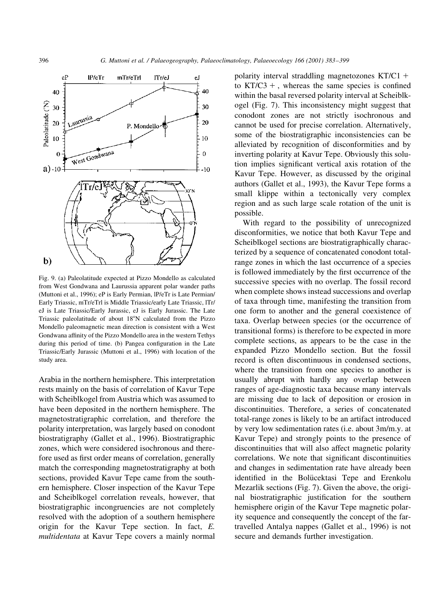

Fig. 9. (a) Paleolatitude expected at Pizzo Mondello as calculated from West Gondwana and Laurussia apparent polar wander paths (Muttoni et al., 1996); eP is Early Permian, lP/eTr is Late Permian/ Early Triassic, mTr/eTrl is Middle Triassic/early Late Triassic, lTr/ eJ is Late Triassic/Early Jurassic, eJ is Early Jurassic. The Late Triassic paleolatitude of about 18°N calculated from the Pizzo Mondello paleomagnetic mean direction is consistent with a West Gondwana affinity of the Pizzo Mondello area in the western Tethys during this period of time. (b) Pangea configuration in the Late Triassic/Early Jurassic (Muttoni et al., 1996) with location of the study area.

Arabia in the northern hemisphere. This interpretation rests mainly on the basis of correlation of Kavur Tepe with Scheiblkogel from Austria which was assumed to have been deposited in the northern hemisphere. The magnetostratigraphic correlation, and therefore the polarity interpretation, was largely based on conodont biostratigraphy (Gallet et al., 1996). Biostratigraphic zones, which were considered isochronous and therefore used as first order means of correlation, generally match the corresponding magnetostratigraphy at both sections, provided Kavur Tepe came from the southern hemisphere. Closer inspection of the Kavur Tepe and Scheiblkogel correlation reveals, however, that biostratigraphic incongruencies are not completely resolved with the adoption of a southern hemisphere origin for the Kavur Tepe section. In fact, E. multidentata at Kavur Tepe covers a mainly normal polarity interval straddling magnetozones  $KT/C1$  + to  $KT/C3 +$ , whereas the same species is confined within the basal reversed polarity interval at Scheiblkogel (Fig. 7). This inconsistency might suggest that conodont zones are not strictly isochronous and cannot be used for precise correlation. Alternatively, some of the biostratigraphic inconsistencies can be alleviated by recognition of disconformities and by inverting polarity at Kavur Tepe. Obviously this solution implies significant vertical axis rotation of the Kavur Tepe. However, as discussed by the original authors (Gallet et al., 1993), the Kavur Tepe forms a small klippe within a tectonically very complex region and as such large scale rotation of the unit is possible.

With regard to the possibility of unrecognized disconformities, we notice that both Kavur Tepe and Scheiblkogel sections are biostratigraphically characterized by a sequence of concatenated conodont totalrange zones in which the last occurrence of a species is followed immediately by the first occurrence of the successive species with no overlap. The fossil record when complete shows instead successions and overlap of taxa through time, manifesting the transition from one form to another and the general coexistence of taxa. Overlap between species (or the occurrence of transitional forms) is therefore to be expected in more complete sections, as appears to be the case in the expanded Pizzo Mondello section. But the fossil record is often discontinuous in condensed sections, where the transition from one species to another is usually abrupt with hardly any overlap between ranges of age-diagnostic taxa because many intervals are missing due to lack of deposition or erosion in discontinuities. Therefore, a series of concatenated total-range zones is likely to be an artifact introduced by very low sedimentation rates (i.e. about 3m/m.y. at Kavur Tepe) and strongly points to the presence of discontinuities that will also affect magnetic polarity correlations. We note that significant discontinuities and changes in sedimentation rate have already been identified in the Bolücektasi Tepe and Erenkolu Mezarlik sections (Fig. 7). Given the above, the original biostratigraphic justification for the southern hemisphere origin of the Kavur Tepe magnetic polarity sequence and consequently the concept of the fartravelled Antalya nappes (Gallet et al., 1996) is not secure and demands further investigation.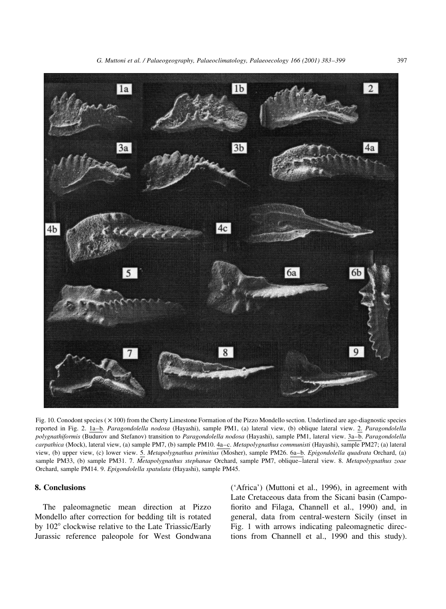

Fig. 10. Conodont species ( $\times$  100) from the Cherty Limestone Formation of the Pizzo Mondello section. Underlined are age-diagnostic species reported in Fig. 2. 1a-b. Paragondolella nodosa (Hayashi), sample PM1, (a) lateral view, (b) oblique lateral view. 2. Paragondolella polygnathiformis (Budurov and Stefanov) transition to Paragondolella nodosa (Hayashi), sample PM1, lateral view. 3a-b. Paragondolella carpathica (Mock), lateral view, (a) sample PM7, (b) sample PM10. 4a-c. Metapolygnathus communisti (Hayashi), sample PM27; (a) lateral view, (b) upper view, (c) lower view. 5. Metapolygnathus primitius (Mosher), sample PM26. 6a-b. Epigondolella quadrata Orchard, (a) sample PM33, (b) sample PM31. 7. Metapolygnathus stephanae Orchard, sample PM7, oblique-lateral view. 8. Metapolygnathus zoae Orchard, sample PM14. 9. Epigondolella spatulata (Hayashi), sample PM45.

# 8. Conclusions

The paleomagnetic mean direction at Pizzo Mondello after correction for bedding tilt is rotated by 102° clockwise relative to the Late Triassic/Early Jurassic reference paleopole for West Gondwana (`Africa') (Muttoni et al., 1996), in agreement with Late Cretaceous data from the Sicani basin (Campo fiorito and Filaga, Channell et al., 1990) and, in general, data from central-western Sicily (inset in Fig. 1 with arrows indicating paleomagnetic directions from Channell et al., 1990 and this study).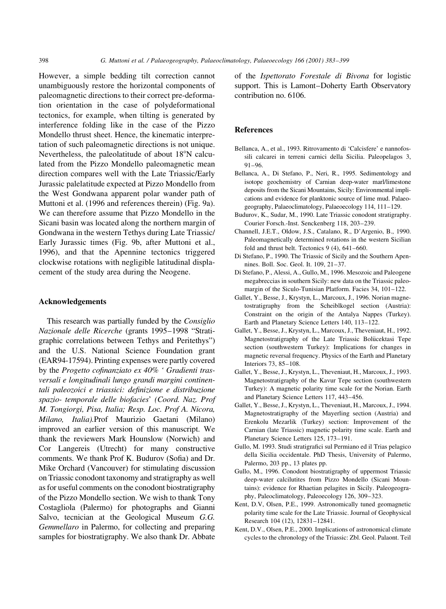398 G. Muttoni et al. / Palaeogeography, Palaeoclimatology, Palaeoecology 166 (2001) 383-399

However, a simple bedding tilt correction cannot unambiguously restore the horizontal components of paleomagnetic directions to their correct pre-deformation orientation in the case of polydeformational tectonics, for example, when tilting is generated by interference folding like in the case of the Pizzo Mondello thrust sheet. Hence, the kinematic interpretation of such paleomagnetic directions is not unique. Nevertheless, the paleolatitude of about  $18^\circ$ N calculated from the Pizzo Mondello paleomagnetic mean direction compares well with the Late Triassic/Early Jurassic palelatitude expected at Pizzo Mondello from the West Gondwana apparent polar wander path of Muttoni et al. (1996 and references therein) (Fig. 9a). We can therefore assume that Pizzo Mondello in the Sicani basin was located along the northern margin of Gondwana in the western Tethys during Late Triassic/ Early Jurassic times (Fig. 9b, after Muttoni et al., 1996), and that the Apennine tectonics triggered clockwise rotations with negligible latitudinal displacement of the study area during the Neogene.

## Acknowledgements

This research was partially funded by the Consiglio Nazionale delle Ricerche (grants 1995-1998 "Stratigraphic correlations between Tethys and Peritethys") and the U.S. National Science Foundation grant (EAR94-17594). Printing expenses were partly covered by the Progetto cofinanziato ex  $40\%$  ' Gradienti trasversali e longitudinali lungo grandi margini continentali paleozoici e triassici: definizione e distribuzione spazio- temporale delle biofacies' (Coord. Naz. Prof M. Tongiorgi, Pisa, Italia; Resp. Loc. Prof A. Nicora, Milano, Italia).Prof Maurizio Gaetani (Milano) improved an earlier version of this manuscript. We thank the reviewers Mark Hounslow (Norwich) and Cor Langereis (Utrecht) for many constructive comments. We thank Prof K. Budurov (Sofia) and Dr. Mike Orchard (Vancouver) for stimulating discussion on Triassic conodont taxonomy and stratigraphy as well as for useful comments on the conodont biostratigraphy of the Pizzo Mondello section. We wish to thank Tony Costagliola (Palermo) for photographs and Gianni Salvo, tecnician at the Geological Museum G.G. Gemmellaro in Palermo, for collecting and preparing samples for biostratigraphy. We also thank Dr. Abbate

of the Ispettorato Forestale di Bivona for logistic support. This is Lamont-Doherty Earth Observatory contribution no. 6106.

## References

- Bellanca, A., et al., 1993. Ritrovamento di 'Calcisfere' e nannofossili calcarei in terreni carnici della Sicilia. Paleopelagos 3,  $91-96.$
- Bellanca, A., Di Stefano, P., Neri, R., 1995. Sedimentology and isotope geochemistry of Carnian deep-water marl/limestone deposits from the Sicani Mountains, Sicily: Environmental implications and evidence for planktonic source of lime mud. Palaeogeography, Palaeoclimatology, Palaeoecology 114, 111-129.
- Budurov, K., Sudar, M., 1990. Late Triassic conodont stratigraphy. Courier Forsch.-Inst. Senckenberg 118, 203-239.
- Channell, J.E.T., Oldow, J.S., Catalano, R., D'Argenio, B., 1990. Paleomagnetically determined rotations in the western Sicilian fold and thrust belt. Tectonics  $9(4)$ ,  $641-660$ .
- Di Stefano, P., 1990. The Triassic of Sicily and the Southern Apennines. Boll. Soc. Geol. It. 109, 21-37.
- Di Stefano, P., Alessi, A., Gullo, M., 1996. Mesozoic and Paleogene megabreccias in southern Sicily: new data on the Triassic paleomargin of the Siculo-Tunisian Platform. Facies 34, 101-122.
- Gallet, Y., Besse, J., Krystyn, L., Marcoux, J., 1996. Norian magnetostratigraphy from the Scheiblkogel section (Austria): Constraint on the origin of the Antalya Nappes (Turkey). Earth and Planetary Science Letters 140, 113-122.
- Gallet, Y., Besse, J., Krystyn, L., Marcoux, J., Theveniaut, H., 1992. Magnetostratigraphy of the Late Triassic Bolücektasi Tepe section (southwestern Turkey): Implications for changes in magnetic reversal frequency. Physics of the Earth and Planetary Interiors 73, 85-108.
- Gallet, Y., Besse, J., Krystyn, L., Theveniaut, H., Marcoux, J., 1993. Magnetostratigraphy of the Kavur Tepe section (southwestern Turkey): A magnetic polarity time scale for the Norian. Earth and Planetary Science Letters 117, 443-456.
- Gallet, Y., Besse, J., Krystyn, L., Theveniaut, H., Marcoux, J., 1994. Magnetostratigraphy of the Mayerling section (Austria) and Erenkolu Mezarlik (Turkey) section: Improvement of the Carnian (late Triassic) magnetic polarity time scale. Earth and Planetary Science Letters 125, 173-191.
- Gullo, M. 1993. Studi stratigrafici sul Permiano ed il Trias pelagico della Sicilia occidentale. PhD Thesis, University of Palermo, Palermo, 203 pp., 13 plates pp.
- Gullo, M., 1996. Conodont biostratigraphy of uppermost Triassic deep-water calcilutites from Pizzo Mondello (Sicani Mountains): evidence for Rhaetian pelagites in Sicily. Paleogeography, Paleoclimatology, Paleoecology 126, 309-323.
- Kent, D.V, Olsen, P.E., 1999. Astronomically tuned geomagnetic polarity time scale for the Late Triassic. Journal of Geophysical Research 104 (12), 12831-12841.
- Kent, D.V., Olsen, P.E., 2000. Implications of astronomical climate cycles to the chronology of the Triassic: Zbl. Geol. Palaont. Teil